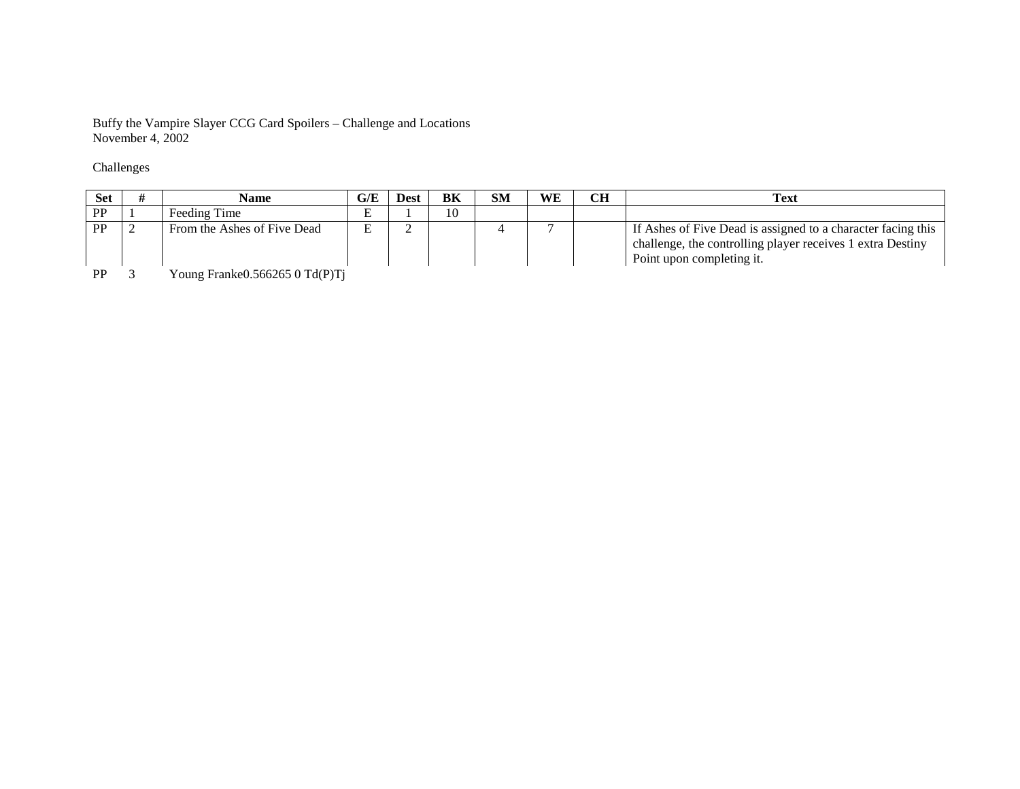Buffy the Vampire Slayer CCG Card Spoilers – Challenge and Locations November 4, 2002

## Challenges

| Set          | Name                                                                                            | G/E    | Dest | BK | SM | WЕ | <b>CH</b> | <b>Text</b>                                                                                                                                             |
|--------------|-------------------------------------------------------------------------------------------------|--------|------|----|----|----|-----------|---------------------------------------------------------------------------------------------------------------------------------------------------------|
| <b>PP</b>    | Feeding Time                                                                                    | ∸      |      | 10 |    |    |           |                                                                                                                                                         |
| PP           | From the Ashes of Five Dead                                                                     | ᠇<br>ப |      |    |    |    |           | If Ashes of Five Dead is assigned to a character facing this<br>challenge, the controlling player receives 1 extra Destiny<br>Point upon completing it. |
| $\mathbf{r}$ | $\alpha$ = $\alpha$ $\alpha$ = $\alpha$ m $\alpha$ m $\alpha$<br>$\mathbf{v}$<br>$\mathbf{r}$ 1 |        |      |    |    |    |           |                                                                                                                                                         |

PPP 3 Young Franke 0.566265 0 Td (P)Tj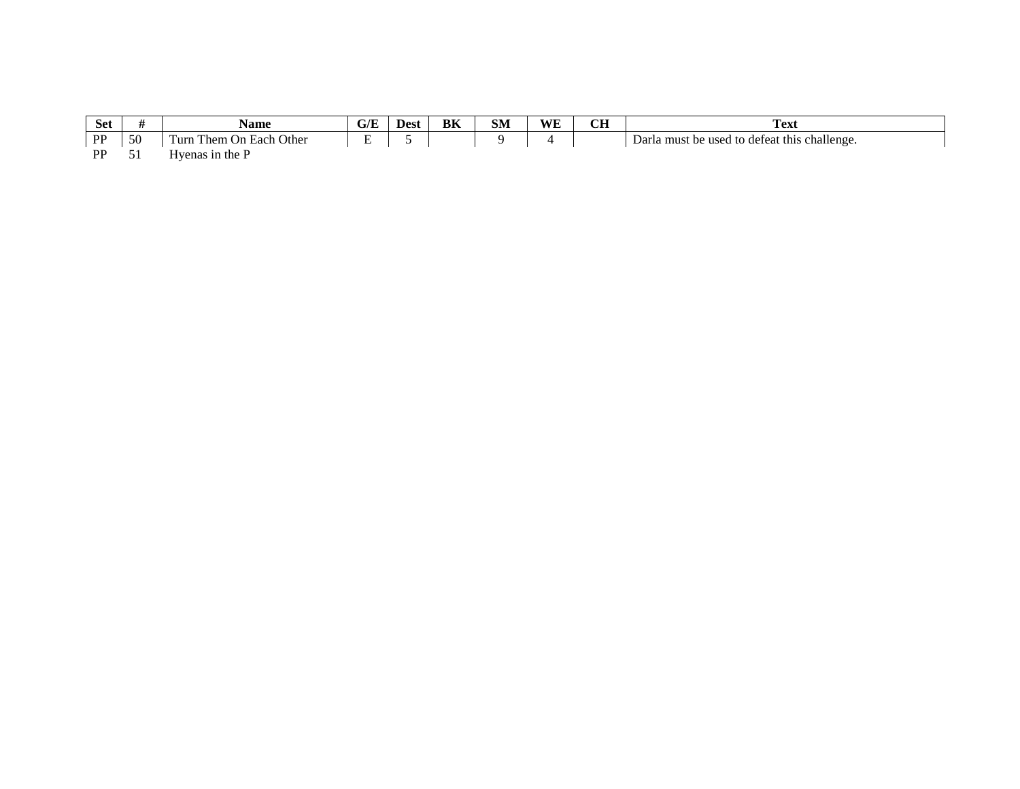| $\sim$<br>Sei    |         | Name                                                            | . .<br>U/L | Dest | <b>TYP</b><br>вк | <b>CITY</b><br>SIV | WF | $\sim$ | <b>CONT</b><br>$\mathbf{a}$<br>. САГ                                              |
|------------------|---------|-----------------------------------------------------------------|------------|------|------------------|--------------------|----|--------|-----------------------------------------------------------------------------------|
| <b>DD</b><br>. . | 50<br>◡ | Other<br>—<br>I'urr<br>⊢ oo h<br>l hem<br>$_{\rm On}$<br>. Lacu | . .        |      |                  |                    |    |        | ∽<br>defeat this<br>; challenge<br>Darla :<br><b>11900</b><br>must<br>be<br>ed to |

 ${\bf PP}$ 51 Hyenas in the P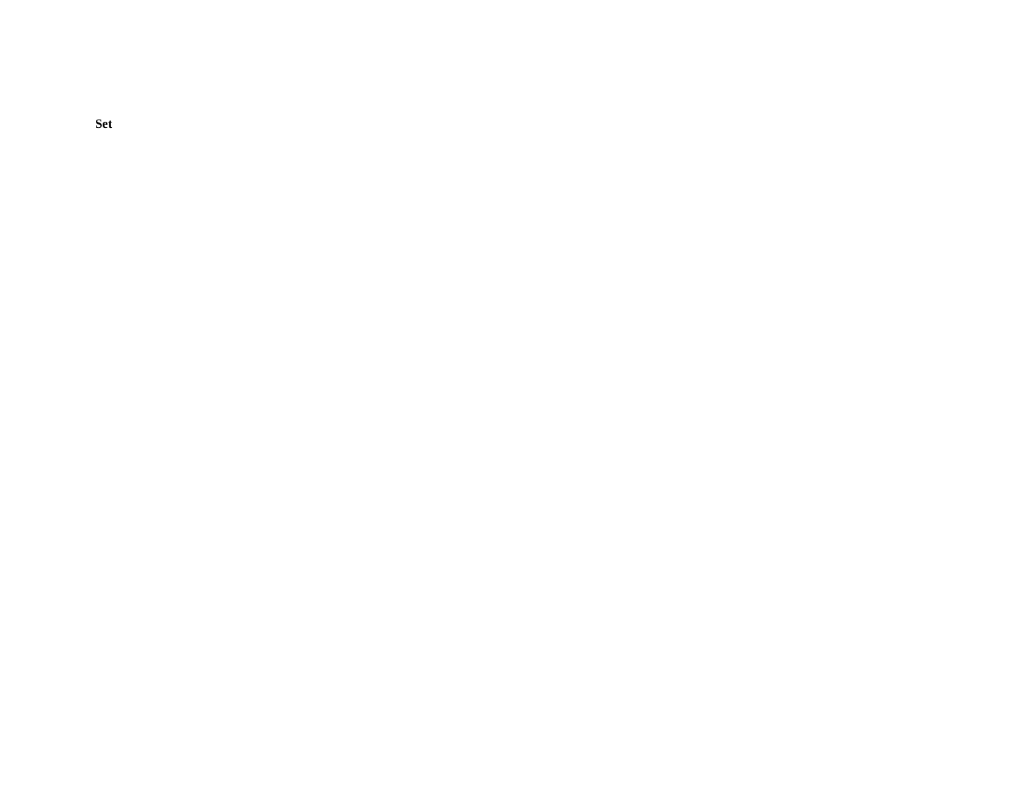**Set**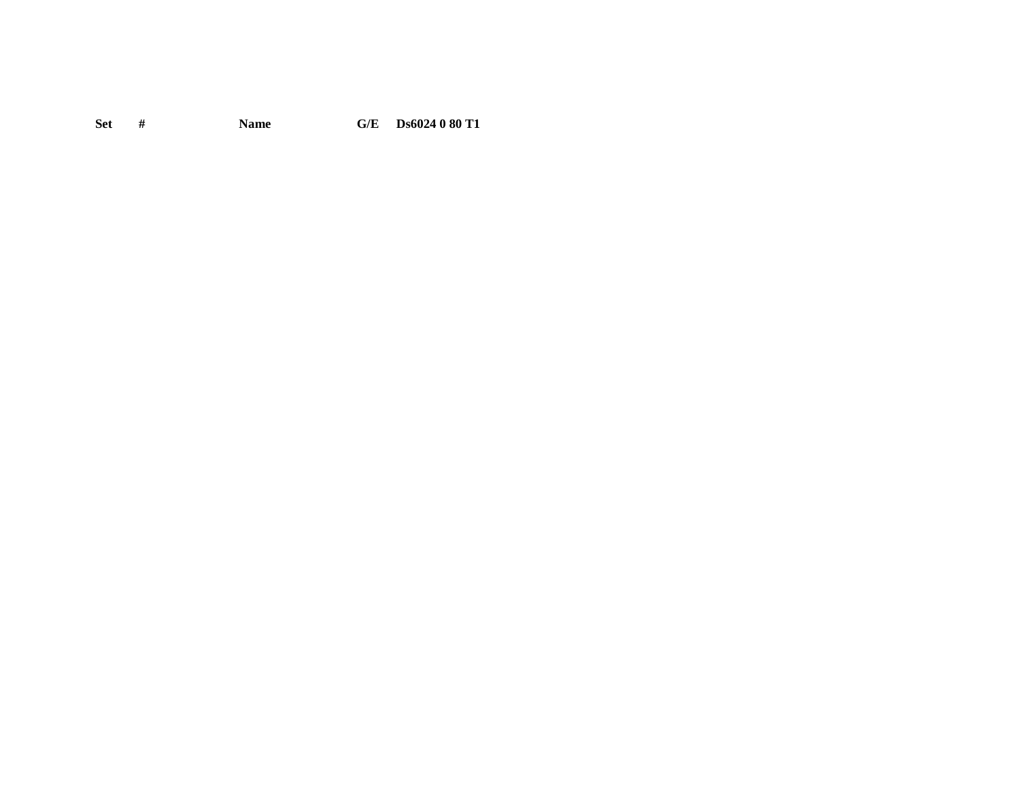Set # **Name**  $\mathbf{G}/\mathbf{E}$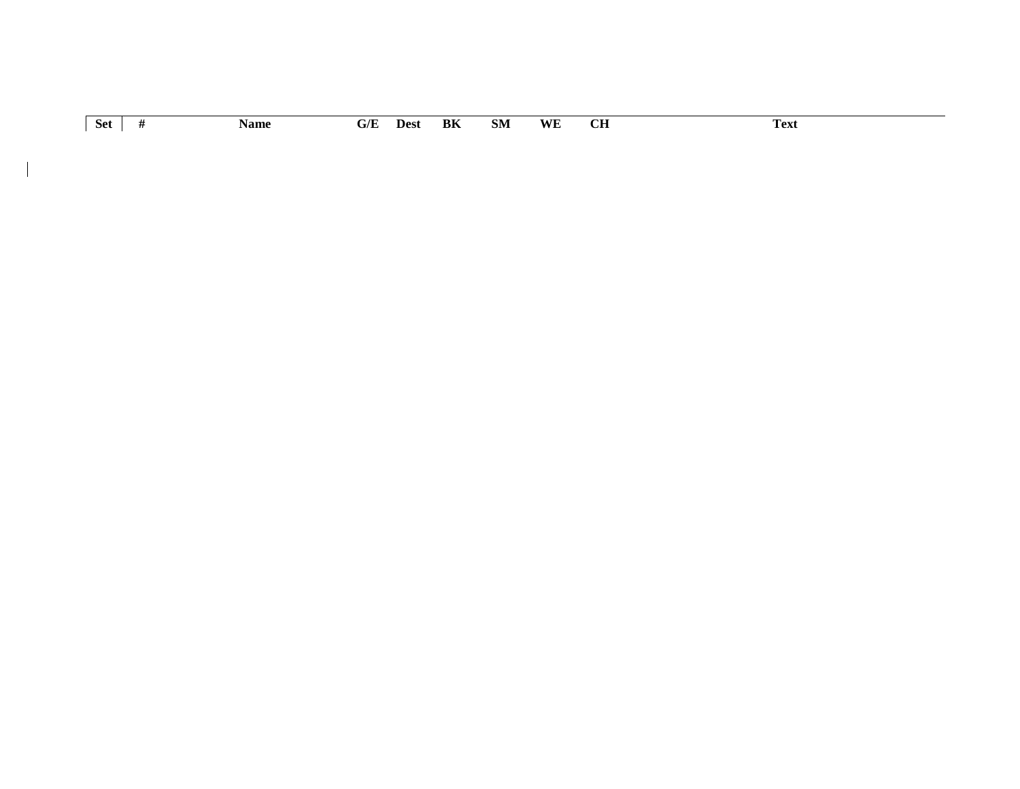|            |      |                         |      |    |    |    | $\sim$    | œ    |
|------------|------|-------------------------|------|----|----|----|-----------|------|
| <b>Set</b> | Name | $\mathbf{G}/\mathbf{E}$ | Dest | BK | SM | WE | <u>vu</u> | Fext |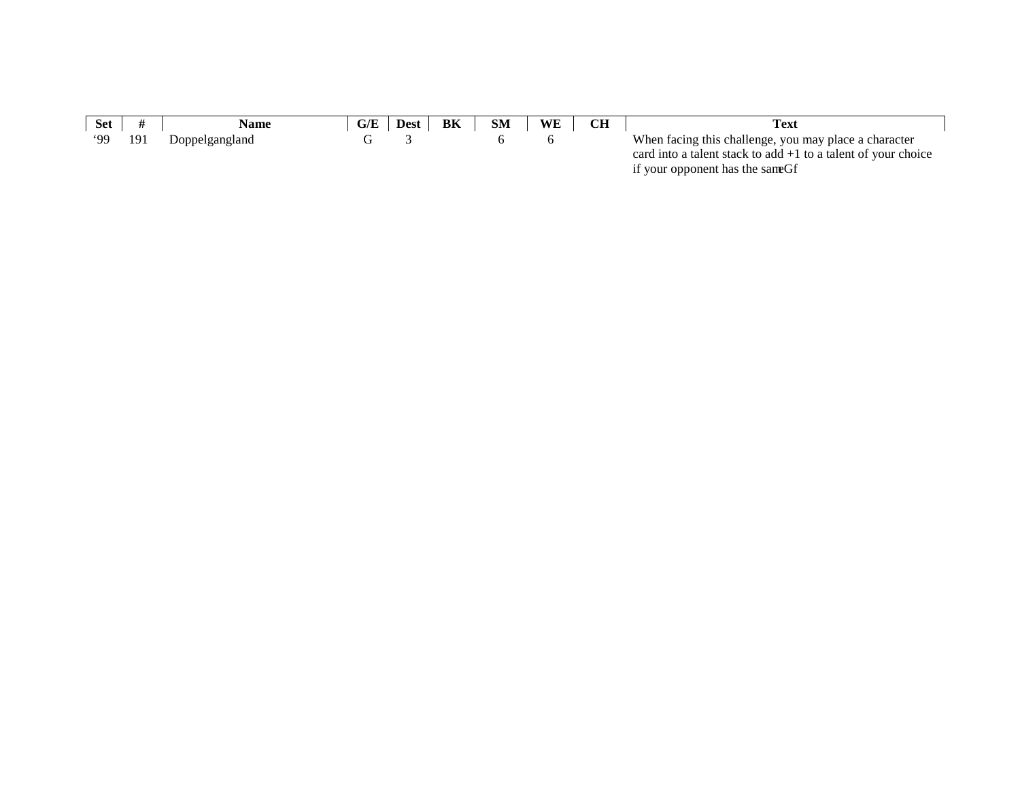| <b>Set</b> |     | <b>Name</b>    | G/E | <b>Dest</b> | BK | <b>SM</b> | <b>WE</b> | Text                                                            |
|------------|-----|----------------|-----|-------------|----|-----------|-----------|-----------------------------------------------------------------|
| <b>.99</b> | 191 | Doppelgangland |     |             |    |           |           | When facing this challenge, you may place a character           |
|            |     |                |     |             |    |           |           | card into a talent stack to add $+1$ to a talent of your choice |
|            |     |                |     |             |    |           |           | if your opponent has the sam                                    |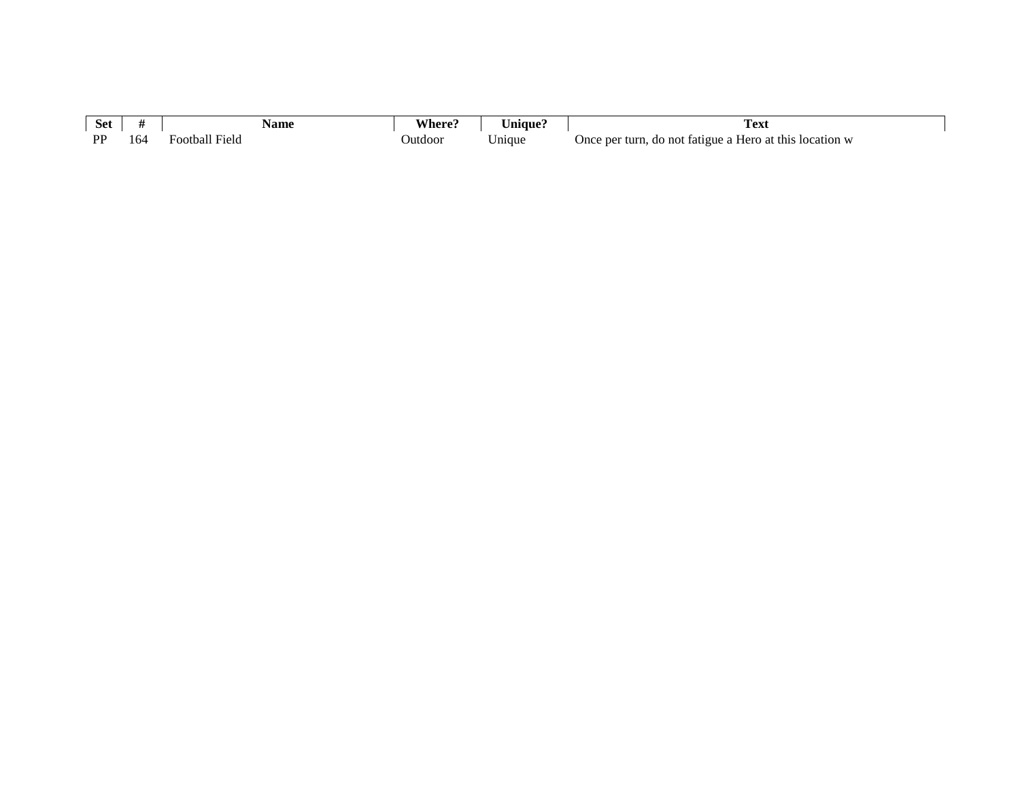| $\sim$<br>set    |            | Name             | , ner   | Anique) | L'ext                                                                          | <b>XX71</b> |
|------------------|------------|------------------|---------|---------|--------------------------------------------------------------------------------|-------------|
| <b>DD</b><br>. . | $. \, \nu$ | Held<br>Football | Jutdoor | Jmaue   | a Hero at this<br>Once per turn.<br>: location w<br>tatigue a<br>. not<br>. de | VI.         |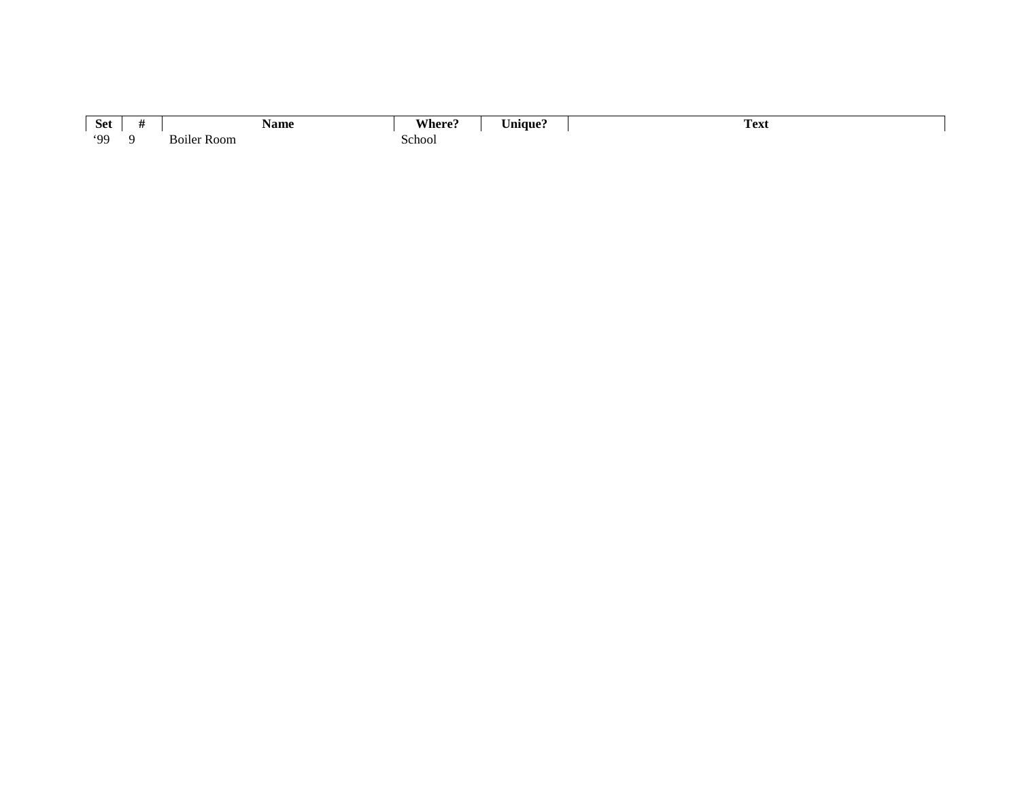| <b>Set</b> | Name                     | Where? | $ -$<br>∪nique` | Text |
|------------|--------------------------|--------|-----------------|------|
| 99'        | $\cdot$ .<br>Boiler Room | ∵choo∟ |                 |      |